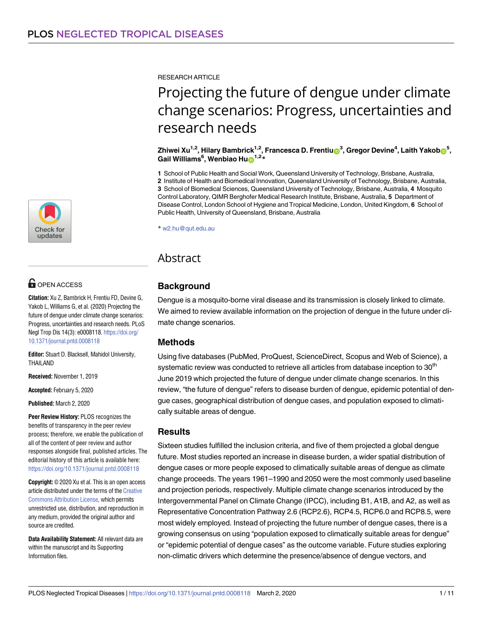RESEARCH ARTICLE

# Projecting the future of dengue under climate change scenarios: Progress, uncertainties and research needs

 $\sum_{i=1}^{n}$  **Zhiwei Xu<sup>1,2</sup>, Hilary Bambrick** $^{1,2}$ **, Francesca D. Frentiu** $\textbf{D}^3$ **, Gregor Devine** $^4$ **, Laith Yakob** $\textbf{D}^5$ **,**  $\mathbf{G}$ ail Williams<sup>6</sup>, Wenbiao Hu $\mathbf{D}^{1,2,*}$ 

**1** School of Public Health and Social Work, Queensland University of Technology, Brisbane, Australia, **2** Institute of Health and Biomedical Innovation, Queensland University of Technology, Brisbane, Australia, **3** School of Biomedical Sciences, Queensland University of Technology, Brisbane, Australia, **4** Mosquito Control Laboratory, QIMR Berghofer Medical Research Institute, Brisbane, Australia, **5** Department of Disease Control, London School of Hygiene and Tropical Medicine, London, United Kingdom, **6** School of Public Health, University of Queensland, Brisbane, Australia

\* w2.hu@qut.edu.au

# Abstract

# **Background**

Dengue is a mosquito-borne viral disease and its transmission is closely linked to climate. We aimed to review available information on the projection of dengue in the future under climate change scenarios.

# **Methods**

Using five databases (PubMed, ProQuest, ScienceDirect, Scopus and Web of Science), a systematic review was conducted to retrieve all articles from database inception to 30<sup>th</sup> June 2019 which projected the future of dengue under climate change scenarios. In this review, "the future of dengue" refers to disease burden of dengue, epidemic potential of dengue cases, geographical distribution of dengue cases, and population exposed to climatically suitable areas of dengue.

#### **Results**

Sixteen studies fulfilled the inclusion criteria, and five of them projected a global dengue future. Most studies reported an increase in disease burden, a wider spatial distribution of dengue cases or more people exposed to climatically suitable areas of dengue as climate change proceeds. The years 1961–1990 and 2050 were the most commonly used baseline and projection periods, respectively. Multiple climate change scenarios introduced by the Intergovernmental Panel on Climate Change (IPCC), including B1, A1B, and A2, as well as Representative Concentration Pathway 2.6 (RCP2.6), RCP4.5, RCP6.0 and RCP8.5, were most widely employed. Instead of projecting the future number of dengue cases, there is a growing consensus on using "population exposed to climatically suitable areas for dengue" or "epidemic potential of dengue cases" as the outcome variable. Future studies exploring non-climatic drivers which determine the presence/absence of dengue vectors, and



# **G** OPEN ACCESS

**Citation:** Xu Z, Bambrick H, Frentiu FD, Devine G, Yakob L, Williams G, et al. (2020) Projecting the future of dengue under climate change scenarios: Progress, uncertainties and research needs. PLoS Negl Trop Dis 14(3): e0008118. [https://doi.org/](https://doi.org/10.1371/journal.pntd.0008118) [10.1371/journal.pntd.0008118](https://doi.org/10.1371/journal.pntd.0008118)

**Editor:** Stuart D. Blacksell, Mahidol University, THAILAND

**Received:** November 1, 2019

**Accepted:** February 5, 2020

**Published:** March 2, 2020

**Peer Review History:** PLOS recognizes the benefits of transparency in the peer review process; therefore, we enable the publication of all of the content of peer review and author responses alongside final, published articles. The editorial history of this article is available here: <https://doi.org/10.1371/journal.pntd.0008118>

**Copyright:** © 2020 Xu et al. This is an open access article distributed under the terms of the [Creative](http://creativecommons.org/licenses/by/4.0/) [Commons](http://creativecommons.org/licenses/by/4.0/) Attribution License, which permits unrestricted use, distribution, and reproduction in any medium, provided the original author and source are credited.

**Data Availability Statement:** All relevant data are within the manuscript and its Supporting Information files.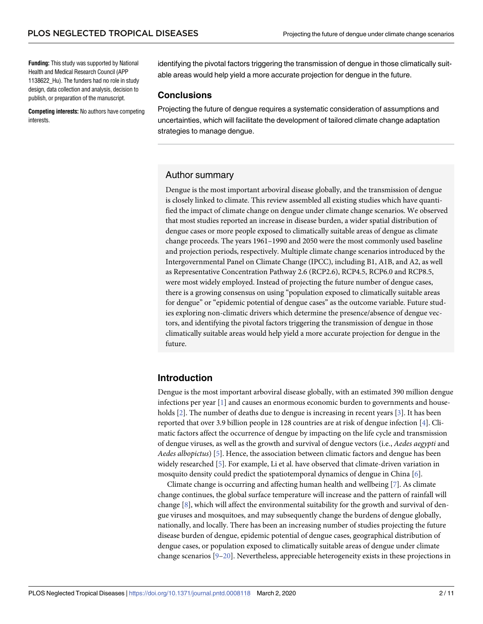<span id="page-1-0"></span>**Funding:** This study was supported by National Health and Medical Research Council (APP 1138622\_Hu). The funders had no role in study design, data collection and analysis, decision to publish, or preparation of the manuscript.

**Competing interests:** No authors have competing interests.

identifying the pivotal factors triggering the transmission of dengue in those climatically suitable areas would help yield a more accurate projection for dengue in the future.

#### **Conclusions**

Projecting the future of dengue requires a systematic consideration of assumptions and uncertainties, which will facilitate the development of tailored climate change adaptation strategies to manage dengue.

#### Author summary

Dengue is the most important arboviral disease globally, and the transmission of dengue is closely linked to climate. This review assembled all existing studies which have quantified the impact of climate change on dengue under climate change scenarios. We observed that most studies reported an increase in disease burden, a wider spatial distribution of dengue cases or more people exposed to climatically suitable areas of dengue as climate change proceeds. The years 1961–1990 and 2050 were the most commonly used baseline and projection periods, respectively. Multiple climate change scenarios introduced by the Intergovernmental Panel on Climate Change (IPCC), including B1, A1B, and A2, as well as Representative Concentration Pathway 2.6 (RCP2.6), RCP4.5, RCP6.0 and RCP8.5, were most widely employed. Instead of projecting the future number of dengue cases, there is a growing consensus on using "population exposed to climatically suitable areas for dengue" or "epidemic potential of dengue cases" as the outcome variable. Future studies exploring non-climatic drivers which determine the presence/absence of dengue vectors, and identifying the pivotal factors triggering the transmission of dengue in those climatically suitable areas would help yield a more accurate projection for dengue in the future.

### **Introduction**

Dengue is the most important arboviral disease globally, with an estimated 390 million dengue infections per year [\[1](#page-8-0)] and causes an enormous economic burden to governments and house-holds [\[2](#page-8-0)]. The number of deaths due to dengue is increasing in recent years [[3\]](#page-8-0). It has been reported that over 3.9 billion people in 128 countries are at risk of dengue infection [\[4\]](#page-8-0). Climatic factors affect the occurrence of dengue by impacting on the life cycle and transmission of dengue viruses, as well as the growth and survival of dengue vectors (i.e., *Aedes aegypti* and *Aedes albopictus*) [[5\]](#page-8-0). Hence, the association between climatic factors and dengue has been widely researched [[5](#page-8-0)]. For example, Li et al. have observed that climate-driven variation in mosquito density could predict the spatiotemporal dynamics of dengue in China [[6](#page-8-0)].

Climate change is occurring and affecting human health and wellbeing [\[7](#page-8-0)]. As climate change continues, the global surface temperature will increase and the pattern of rainfall will change [[8\]](#page-8-0), which will affect the environmental suitability for the growth and survival of dengue viruses and mosquitoes, and may subsequently change the burdens of dengue globally, nationally, and locally. There has been an increasing number of studies projecting the future disease burden of dengue, epidemic potential of dengue cases, geographical distribution of dengue cases, or population exposed to climatically suitable areas of dengue under climate change scenarios [\[9–](#page-8-0)[20](#page-9-0)]. Nevertheless, appreciable heterogeneity exists in these projections in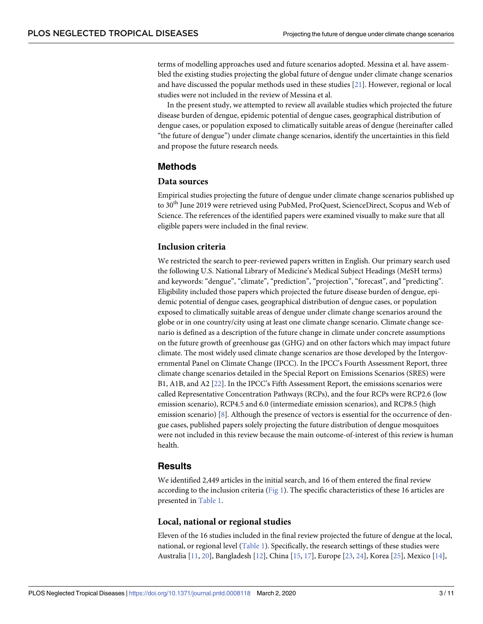<span id="page-2-0"></span>terms of modelling approaches used and future scenarios adopted. Messina et al. have assembled the existing studies projecting the global future of dengue under climate change scenarios and have discussed the popular methods used in these studies [[21](#page-9-0)]. However, regional or local studies were not included in the review of Messina et al.

In the present study, we attempted to review all available studies which projected the future disease burden of dengue, epidemic potential of dengue cases, geographical distribution of dengue cases, or population exposed to climatically suitable areas of dengue (hereinafter called "the future of dengue") under climate change scenarios, identify the uncertainties in this field and propose the future research needs.

### **Methods**

#### **Data sources**

Empirical studies projecting the future of dengue under climate change scenarios published up to 30<sup>th</sup> June 2019 were retrieved using PubMed, ProQuest, ScienceDirect, Scopus and Web of Science. The references of the identified papers were examined visually to make sure that all eligible papers were included in the final review.

#### **Inclusion criteria**

We restricted the search to peer-reviewed papers written in English. Our primary search used the following U.S. National Library of Medicine's Medical Subject Headings (MeSH terms) and keywords: "dengue", "climate", "prediction", "projection", "forecast", and "predicting". Eligibility included those papers which projected the future disease burden of dengue, epidemic potential of dengue cases, geographical distribution of dengue cases, or population exposed to climatically suitable areas of dengue under climate change scenarios around the globe or in one country/city using at least one climate change scenario. Climate change scenario is defined as a description of the future change in climate under concrete assumptions on the future growth of greenhouse gas (GHG) and on other factors which may impact future climate. The most widely used climate change scenarios are those developed by the Intergovernmental Panel on Climate Change (IPCC). In the IPCC's Fourth Assessment Report, three climate change scenarios detailed in the Special Report on Emissions Scenarios (SRES) were B1, A1B, and A2 [\[22\]](#page-9-0). In the IPCC's Fifth Assessment Report, the emissions scenarios were called Representative Concentration Pathways (RCPs), and the four RCPs were RCP2.6 (low emission scenario), RCP4.5 and 6.0 (intermediate emission scenarios), and RCP8.5 (high emission scenario) [\[8\]](#page-8-0). Although the presence of vectors is essential for the occurrence of dengue cases, published papers solely projecting the future distribution of dengue mosquitoes were not included in this review because the main outcome-of-interest of this review is human health.

#### **Results**

We identified 2,449 articles in the initial search, and 16 of them entered the final review according to the inclusion criteria [\(Fig](#page-3-0) 1). The specific characteristics of these 16 articles are presented in [Table](#page-4-0) 1.

#### **Local, national or regional studies**

Eleven of the 16 studies included in the final review projected the future of dengue at the local, national, or regional level ([Table](#page-4-0) 1). Specifically, the research settings of these studies were Australia [[11](#page-8-0), [20](#page-9-0)], Bangladesh [\[12\]](#page-8-0), China [[15](#page-8-0), [17](#page-8-0)], Europe [[23](#page-9-0), [24](#page-9-0)], Korea [[25](#page-9-0)], Mexico [[14\]](#page-8-0),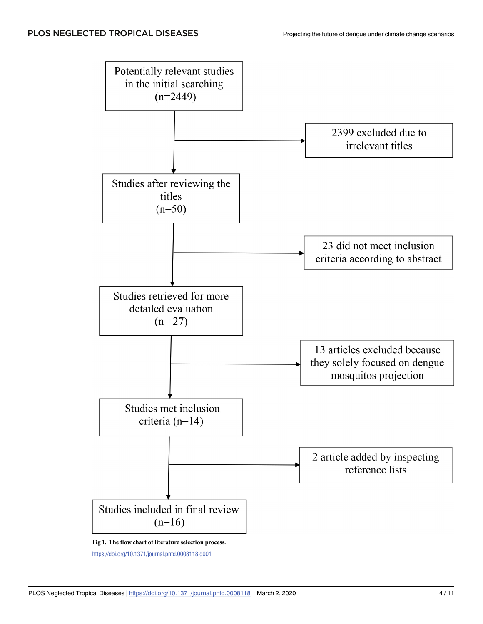<span id="page-3-0"></span>

<https://doi.org/10.1371/journal.pntd.0008118.g001>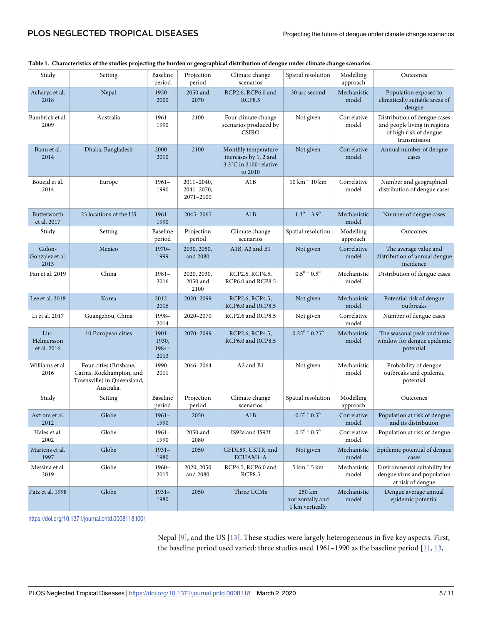| Study                             | Setting                                                                                        | Baseline<br>period                 | Projection<br>period                       | Climate change<br>scenarios                                                       | Spatial resolution                            | Modelling<br>approach | Outcomes                                                                                               |
|-----------------------------------|------------------------------------------------------------------------------------------------|------------------------------------|--------------------------------------------|-----------------------------------------------------------------------------------|-----------------------------------------------|-----------------------|--------------------------------------------------------------------------------------------------------|
| Acharya et al.<br>2018            | Nepal                                                                                          | $1950 -$<br>2000                   | 2050 and<br>2070                           | RCP2.6, RCP6.0 and<br><b>RCP8.5</b>                                               | 30 arc second                                 | Mechanistic<br>model  | Population exposed to<br>climatically suitable areas of<br>dengue                                      |
| Bambrick et al.<br>2009           | Australia                                                                                      | $1961 -$<br>1990                   | 2100                                       | Four climate change<br>scenarios produced by<br><b>CSIRO</b>                      | Not given                                     | Correlative<br>model  | Distribution of dengue cases<br>and people living in regions<br>of high risk of dengue<br>transmission |
| Banu et al.<br>2014               | Dhaka, Bangladesh                                                                              | $2000 -$<br>2010                   | 2100                                       | Monthly temperature<br>increases by 1, 2 and<br>3.3°C in 2100 relative<br>to 2010 | Not given                                     | Correlative<br>model  | Annual number of dengue<br>cases                                                                       |
| Bouzid et al.<br>2014             | Europe                                                                                         | $1961 -$<br>1990                   | $2011 - 2040$ ,<br>2041-2070,<br>2071-2100 | A1B                                                                               | 10 km * 10 km                                 | Correlative<br>model  | Number and geographical<br>distribution of dengue cases                                                |
| Butterworth<br>et al. 2017        | 23 locations of the US                                                                         | $1961 -$<br>1990                   | 2045-2065                                  | A1B                                                                               | $1.3^{\circ} - 3.9^{\circ}$                   | Mechanistic<br>model  | Number of dengue cases                                                                                 |
| Study                             | Setting                                                                                        | Baseline<br>period                 | Projection<br>period                       | Climate change<br>scenarios                                                       | Spatial resolution                            | Modelling<br>approach | Outcomes                                                                                               |
| Colon-<br>Gonzalez et al.<br>2013 | Mexico                                                                                         | $1970-$<br>1999                    | 2030, 2050,<br>and 2080                    | A1B, A2 and B1                                                                    | Not given                                     | Correlative<br>model  | The average value and<br>distribution of annual dengue<br>incidence                                    |
| Fan et al. 2019                   | China                                                                                          | $1981 -$<br>2016                   | 2020, 2030,<br>2050 and<br>2100            | RCP2.6, RCP4.5,<br>RCP6.0 and RCP8.5                                              | $0.5^{\circ}$ * $0.5^{\circ}$                 | Mechanistic<br>model  | Distribution of dengue cases                                                                           |
| Lee et al. 2018                   | Korea                                                                                          | $2012 -$<br>2016                   | 2020-2099                                  | RCP2.6, RCP4.5,<br>RCP6.0 and RCP8.5                                              | Not given                                     | Mechanistic<br>model  | Potential risk of dengue<br>outbreaks                                                                  |
| Li et al. 2017                    | Guangzhou, China                                                                               | 1998-<br>2014                      | 2020-2070                                  | RCP2.6 and RCP8.5                                                                 | Not given                                     | Correlative<br>model  | Number of dengue cases                                                                                 |
| Liu-<br>Helmersson<br>et al. 2016 | 10 European cities                                                                             | $1901 -$<br>1930,<br>1984-<br>2013 | 2070-2099                                  | RCP2.6, RCP4.5,<br>RCP6.0 and RCP8.5                                              | $0.25^{\circ}$ * $0.25^{\circ}$               | Mechanistic<br>model  | The seasonal peak and time<br>window for dengue epidemic<br>potential                                  |
| Williams et al.<br>2016           | Four cities (Brisbane,<br>Cairns, Rockhampton, and<br>Townsville) in Queensland,<br>Australia. | $1990-$<br>2011                    | 2046-2064                                  | A2 and B1                                                                         | Not given                                     | Mechanistic<br>model  | Probability of dengue<br>outbreaks and epidemic<br>potential                                           |
| Study                             | Setting                                                                                        | Baseline<br>period                 | Projection<br>period                       | Climate change<br>scenarios                                                       | Spatial resolution                            | Modelling<br>approach | Outcomes                                                                                               |
| Astrom et al.<br>2012             | Globe                                                                                          | $1961 -$<br>1990                   | 2050                                       | A1B                                                                               | $0.5^{\circ}$ * $0.5^{\circ}$                 | Correlative<br>model  | Population at risk of dengue<br>and its distribution                                                   |
| Hales et al.<br>2002              | Globe                                                                                          | $1961-$<br>1990                    | 2050 and<br>2080                           | IS92a and IS92f                                                                   | $0.5^{\rm o}$ * $0.5^{\rm o}$                 | Correlative<br>model  | Population at risk of dengue                                                                           |
| Martens et al.<br>1997            | Globe                                                                                          | $1931 -$<br>1980                   | 2050                                       | GFDL89, UKTR, and<br>ECHAM1-A                                                     | Not given                                     | Mechanistic<br>model  | Epidemic potential of dengue<br>cases                                                                  |
| Messina et al.<br>2019            | Globe                                                                                          | $1960 -$<br>2015                   | 2020, 2050<br>and 2080                     | RCP4.5, RCP6.0 and<br><b>RCP8.5</b>                                               | 5 km * 5 km                                   | Mechanistic<br>model  | Environmental suitability for<br>dengue virus and population<br>at risk of dengue                      |
| Patz et al. 1998                  | Globe                                                                                          | $1931 -$<br>1980                   | 2050                                       | Three GCMs                                                                        | 250 km<br>horizontally and<br>1 km vertically | Mechanistic<br>model  | Dengue average annual<br>epidemic potential                                                            |

#### <span id="page-4-0"></span>[Table](#page-2-0) 1. Characteristics of the studies projecting the burden or geographical distribution of dengue under climate change scenarios.

<https://doi.org/10.1371/journal.pntd.0008118.t001>

Nepal [\[9\]](#page-8-0), and the US [[13](#page-8-0)]. These studies were largely heterogeneous in five key aspects. First, the baseline period used varied: three studies used  $1961-1990$  as the baseline period  $[11, 13, 13]$  $[11, 13, 13]$  $[11, 13, 13]$  $[11, 13, 13]$  $[11, 13, 13]$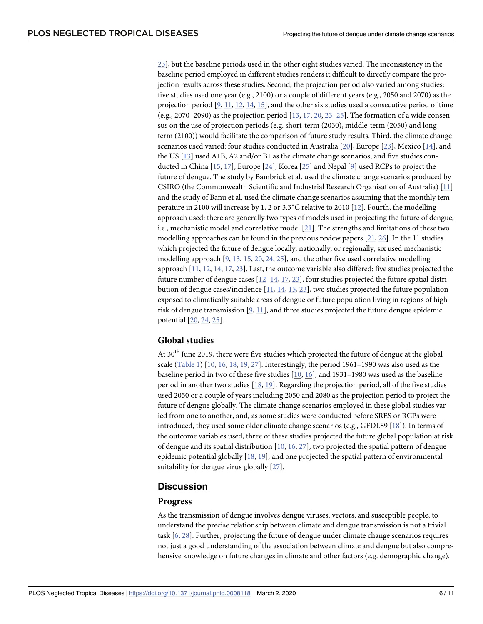<span id="page-5-0"></span>[23\]](#page-9-0), but the baseline periods used in the other eight studies varied. The inconsistency in the baseline period employed in different studies renders it difficult to directly compare the projection results across these studies. Second, the projection period also varied among studies: five studies used one year (e.g., 2100) or a couple of different years (e.g., 2050 and 2070) as the projection period [\[9,](#page-8-0) [11,](#page-8-0) [12,](#page-8-0) [14,](#page-8-0) [15\]](#page-8-0), and the other six studies used a consecutive period of time (e.g., 2070–2090) as the projection period  $[13, 17, 20, 23-25]$  $[13, 17, 20, 23-25]$  $[13, 17, 20, 23-25]$  $[13, 17, 20, 23-25]$  $[13, 17, 20, 23-25]$  $[13, 17, 20, 23-25]$  $[13, 17, 20, 23-25]$  $[13, 17, 20, 23-25]$  $[13, 17, 20, 23-25]$  $[13, 17, 20, 23-25]$ . The formation of a wide consensus on the use of projection periods (e.g. short-term (2030), middle-term (2050) and longterm (2100)) would facilitate the comparison of future study results. Third, the climate change scenarios used varied: four studies conducted in Australia [\[20\]](#page-9-0), Europe [[23](#page-9-0)], Mexico [\[14\]](#page-8-0), and the US [\[13\]](#page-8-0) used A1B, A2 and/or B1 as the climate change scenarios, and five studies conducted in China [[15](#page-8-0), [17](#page-8-0)], Europe [[24](#page-9-0)], Korea [\[25\]](#page-9-0) and Nepal [[9](#page-8-0)] used RCPs to project the future of dengue. The study by Bambrick et al. used the climate change scenarios produced by CSIRO (the Commonwealth Scientific and Industrial Research Organisation of Australia) [[11](#page-8-0)] and the study of Banu et al. used the climate change scenarios assuming that the monthly temperature in 2100 will increase by 1, 2 or 3.3˚C relative to 2010 [[12](#page-8-0)]. Fourth, the modelling approach used: there are generally two types of models used in projecting the future of dengue, i.e., mechanistic model and correlative model [\[21](#page-9-0)]. The strengths and limitations of these two modelling approaches can be found in the previous review papers  $[21, 26]$  $[21, 26]$  $[21, 26]$  $[21, 26]$  $[21, 26]$ . In the 11 studies which projected the future of dengue locally, nationally, or regionally, six used mechanistic modelling approach [[9](#page-8-0), [13](#page-8-0), [15](#page-8-0), [20](#page-9-0), [24](#page-9-0), [25](#page-9-0)], and the other five used correlative modelling approach [[11](#page-8-0), [12](#page-8-0), [14](#page-8-0), [17](#page-8-0), [23](#page-9-0)]. Last, the outcome variable also differed: five studies projected the future number of dengue cases  $[12-14, 17, 23]$  $[12-14, 17, 23]$  $[12-14, 17, 23]$  $[12-14, 17, 23]$  $[12-14, 17, 23]$  $[12-14, 17, 23]$  $[12-14, 17, 23]$  $[12-14, 17, 23]$ , four studies projected the future spatial distribution of dengue cases/incidence [[11](#page-8-0), [14](#page-8-0), [15](#page-8-0), [23](#page-9-0)], two studies projected the future population exposed to climatically suitable areas of dengue or future population living in regions of high risk of dengue transmission [[9](#page-8-0), [11](#page-8-0)], and three studies projected the future dengue epidemic potential [\[20,](#page-9-0) [24](#page-9-0), [25](#page-9-0)].

#### **Global studies**

At 30<sup>th</sup> June 2019, there were five studies which projected the future of dengue at the global scale ([Table](#page-4-0) 1) [[10](#page-8-0), [16](#page-8-0), [18](#page-9-0), [19](#page-9-0), [27](#page-9-0)]. Interestingly, the period 1961–1990 was also used as the baseline period in two of these five studies [[10](#page-8-0), [16](#page-8-0)], and 1931–1980 was used as the baseline period in another two studies [\[18,](#page-9-0) [19\]](#page-9-0). Regarding the projection period, all of the five studies used 2050 or a couple of years including 2050 and 2080 as the projection period to project the future of dengue globally. The climate change scenarios employed in these global studies varied from one to another, and, as some studies were conducted before SRES or RCPs were introduced, they used some older climate change scenarios (e.g., GFDL89 [\[18\]](#page-9-0)). In terms of the outcome variables used, three of these studies projected the future global population at risk of dengue and its spatial distribution  $[10, 16, 27]$  $[10, 16, 27]$  $[10, 16, 27]$  $[10, 16, 27]$  $[10, 16, 27]$ , two projected the spatial pattern of dengue epidemic potential globally [\[18,](#page-9-0) [19\]](#page-9-0), and one projected the spatial pattern of environmental suitability for dengue virus globally [\[27\]](#page-9-0).

#### **Discussion**

#### **Progress**

As the transmission of dengue involves dengue viruses, vectors, and susceptible people, to understand the precise relationship between climate and dengue transmission is not a trivial task [\[6](#page-8-0), [28](#page-9-0)]. Further, projecting the future of dengue under climate change scenarios requires not just a good understanding of the association between climate and dengue but also comprehensive knowledge on future changes in climate and other factors (e.g. demographic change).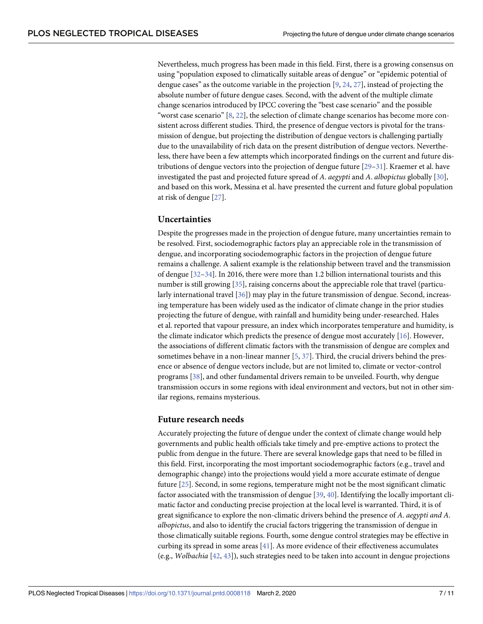<span id="page-6-0"></span>Nevertheless, much progress has been made in this field. First, there is a growing consensus on using "population exposed to climatically suitable areas of dengue" or "epidemic potential of dengue cases" as the outcome variable in the projection  $[9, 24, 27]$  $[9, 24, 27]$  $[9, 24, 27]$  $[9, 24, 27]$  $[9, 24, 27]$ , instead of projecting the absolute number of future dengue cases. Second, with the advent of the multiple climate change scenarios introduced by IPCC covering the "best case scenario" and the possible "worst case scenario" [[8,](#page-8-0) [22\]](#page-9-0), the selection of climate change scenarios has become more consistent across different studies. Third, the presence of dengue vectors is pivotal for the transmission of dengue, but projecting the distribution of dengue vectors is challenging partially due to the unavailability of rich data on the present distribution of dengue vectors. Nevertheless, there have been a few attempts which incorporated findings on the current and future distributions of dengue vectors into the projection of dengue future [[29](#page-9-0)–[31\]](#page-9-0). Kraemer et al. have investigated the past and projected future spread of *A*. *aegypti* and *A*. *albopictus* globally [\[30\]](#page-9-0), and based on this work, Messina et al. have presented the current and future global population at risk of dengue [[27](#page-9-0)].

#### **Uncertainties**

Despite the progresses made in the projection of dengue future, many uncertainties remain to be resolved. First, sociodemographic factors play an appreciable role in the transmission of dengue, and incorporating sociodemographic factors in the projection of dengue future remains a challenge. A salient example is the relationship between travel and the transmission of dengue [[32](#page-9-0)–[34](#page-9-0)]. In 2016, there were more than 1.2 billion international tourists and this number is still growing [[35](#page-9-0)], raising concerns about the appreciable role that travel (particularly international travel [[36](#page-9-0)]) may play in the future transmission of dengue. Second, increasing temperature has been widely used as the indicator of climate change in the prior studies projecting the future of dengue, with rainfall and humidity being under-researched. Hales et al. reported that vapour pressure, an index which incorporates temperature and humidity, is the climate indicator which predicts the presence of dengue most accurately  $[16]$  $[16]$  $[16]$ . However, the associations of different climatic factors with the transmission of dengue are complex and sometimes behave in a non-linear manner [\[5](#page-8-0), [37](#page-9-0)]. Third, the crucial drivers behind the presence or absence of dengue vectors include, but are not limited to, climate or vector-control programs [\[38\]](#page-10-0), and other fundamental drivers remain to be unveiled. Fourth, why dengue transmission occurs in some regions with ideal environment and vectors, but not in other similar regions, remains mysterious.

#### **Future research needs**

Accurately projecting the future of dengue under the context of climate change would help governments and public health officials take timely and pre-emptive actions to protect the public from dengue in the future. There are several knowledge gaps that need to be filled in this field. First, incorporating the most important sociodemographic factors (e.g., travel and demographic change) into the projections would yield a more accurate estimate of dengue future [[25](#page-9-0)]. Second, in some regions, temperature might not be the most significant climatic factor associated with the transmission of dengue [[39](#page-10-0), [40\]](#page-10-0). Identifying the locally important climatic factor and conducting precise projection at the local level is warranted. Third, it is of great significance to explore the non-climatic drivers behind the presence of *A*. *aegypti and A*. *albopictus*, and also to identify the crucial factors triggering the transmission of dengue in those climatically suitable regions. Fourth, some dengue control strategies may be effective in curbing its spread in some areas [[41](#page-10-0)]. As more evidence of their effectiveness accumulates (e.g., *Wolbachia* [[42](#page-10-0), [43\]](#page-10-0)), such strategies need to be taken into account in dengue projections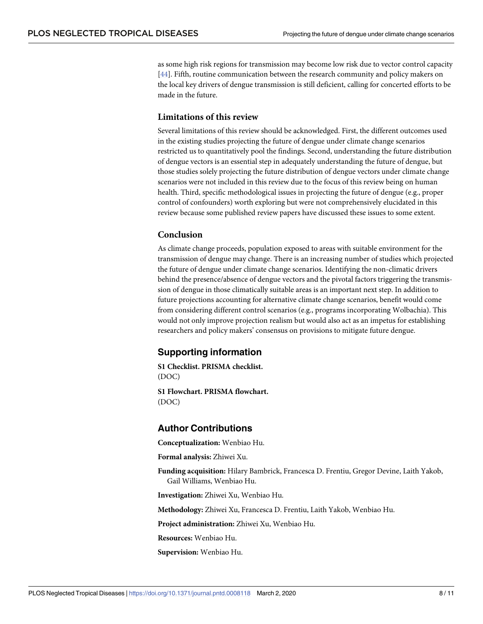<span id="page-7-0"></span>as some high risk regions for transmission may become low risk due to vector control capacity [\[44\]](#page-10-0). Fifth, routine communication between the research community and policy makers on the local key drivers of dengue transmission is still deficient, calling for concerted efforts to be made in the future.

#### **Limitations of this review**

Several limitations of this review should be acknowledged. First, the different outcomes used in the existing studies projecting the future of dengue under climate change scenarios restricted us to quantitatively pool the findings. Second, understanding the future distribution of dengue vectors is an essential step in adequately understanding the future of dengue, but those studies solely projecting the future distribution of dengue vectors under climate change scenarios were not included in this review due to the focus of this review being on human health. Third, specific methodological issues in projecting the future of dengue (e.g., proper control of confounders) worth exploring but were not comprehensively elucidated in this review because some published review papers have discussed these issues to some extent.

#### **Conclusion**

As climate change proceeds, population exposed to areas with suitable environment for the transmission of dengue may change. There is an increasing number of studies which projected the future of dengue under climate change scenarios. Identifying the non-climatic drivers behind the presence/absence of dengue vectors and the pivotal factors triggering the transmission of dengue in those climatically suitable areas is an important next step. In addition to future projections accounting for alternative climate change scenarios, benefit would come from considering different control scenarios (e.g., programs incorporating Wolbachia). This would not only improve projection realism but would also act as an impetus for establishing researchers and policy makers' consensus on provisions to mitigate future dengue.

# **Supporting information**

**S1 [Checklist.](http://journals.plos.org/plosntds/article/asset?unique&id=info:doi/10.1371/journal.pntd.0008118.s001) PRISMA checklist.** (DOC)

**S1 [Flowchart](http://journals.plos.org/plosntds/article/asset?unique&id=info:doi/10.1371/journal.pntd.0008118.s002). PRISMA flowchart.** (DOC)

#### **Author Contributions**

**Conceptualization:** Wenbiao Hu.

**Formal analysis:** Zhiwei Xu.

**Funding acquisition:** Hilary Bambrick, Francesca D. Frentiu, Gregor Devine, Laith Yakob, Gail Williams, Wenbiao Hu.

**Investigation:** Zhiwei Xu, Wenbiao Hu.

**Methodology:** Zhiwei Xu, Francesca D. Frentiu, Laith Yakob, Wenbiao Hu.

**Project administration:** Zhiwei Xu, Wenbiao Hu.

**Resources:** Wenbiao Hu.

**Supervision:** Wenbiao Hu.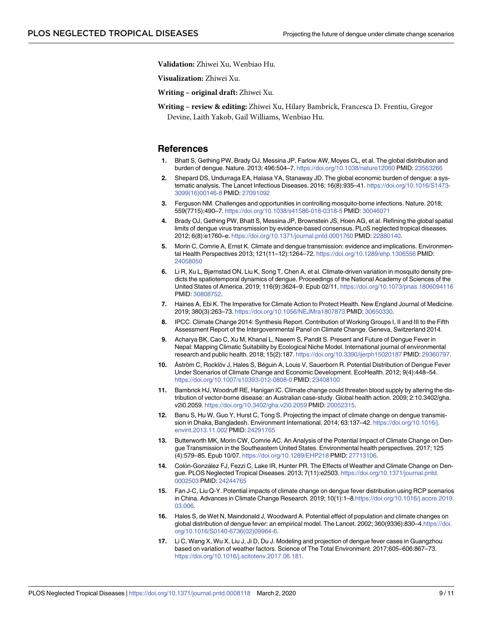<span id="page-8-0"></span>**Validation:** Zhiwei Xu, Wenbiao Hu.

**Visualization:** Zhiwei Xu.

**Writing – original draft:** Zhiwei Xu.

**Writing – review & editing:** Zhiwei Xu, Hilary Bambrick, Francesca D. Frentiu, Gregor Devine, Laith Yakob, Gail Williams, Wenbiao Hu.

#### **References**

- **[1](#page-1-0).** Bhatt S, Gething PW, Brady OJ, Messina JP, Farlow AW, Moyes CL, et al. The global distribution and burden of dengue. Nature. 2013; 496:504–7. <https://doi.org/10.1038/nature12060> PMID: [23563266](http://www.ncbi.nlm.nih.gov/pubmed/23563266)
- **[2](#page-1-0).** Shepard DS, Undurraga EA, Halasa YA, Stanaway JD. The global economic burden of dengue: a systematic analysis. The Lancet Infectious Diseases. 2016; 16(8):935–41. [https://doi.org/10.1016/S1473-](https://doi.org/10.1016/S1473-3099(16)00146-8) [3099\(16\)00146-8](https://doi.org/10.1016/S1473-3099(16)00146-8) PMID: [27091092](http://www.ncbi.nlm.nih.gov/pubmed/27091092)
- **[3](#page-1-0).** Ferguson NM. Challenges and opportunities in controlling mosquito-borne infections. Nature. 2018; 559(7715):490–7. <https://doi.org/10.1038/s41586-018-0318-5> PMID: [30046071](http://www.ncbi.nlm.nih.gov/pubmed/30046071)
- **[4](#page-1-0).** Brady OJ, Gething PW, Bhatt S, Messina JP, Brownstein JS, Hoen AG, et al. Refining the global spatial limits of dengue virus transmission by evidence-based consensus. PLoS neglected tropical diseases. 2012; 6(8):e1760–e. <https://doi.org/10.1371/journal.pntd.0001760> PMID: [22880140](http://www.ncbi.nlm.nih.gov/pubmed/22880140).
- **[5](#page-1-0).** Morin C, Comrie A, Ernst K. Climate and dengue transmission: evidence and implications. Environmental Health Perspectives 2013; 121(11–12):1264–72. <https://doi.org/10.1289/ehp.1306556> PMID: [24058050](http://www.ncbi.nlm.nih.gov/pubmed/24058050)
- **[6](#page-1-0).** Li R, Xu L, Bjørnstad ON, Liu K, Song T, Chen A, et al. Climate-driven variation in mosquito density predicts the spatiotemporal dynamics of dengue. Proceedings of the National Academy of Sciences of the United States of America. 2019; 116(9):3624–9. Epub 02/11. <https://doi.org/10.1073/pnas.1806094116> PMID: [30808752](http://www.ncbi.nlm.nih.gov/pubmed/30808752).
- **[7](#page-1-0).** Haines A, Ebi K. The Imperative for Climate Action to Protect Health. New England Journal of Medicine. 2019; 380(3):263–73. <https://doi.org/10.1056/NEJMra1807873> PMID: [30650330.](http://www.ncbi.nlm.nih.gov/pubmed/30650330)
- **[8](#page-1-0).** IPCC. Climate Change 2014: Synthesis Report. Contribution of Working Groups I, II and III to the Fifth Assessment Report of the Intergovenmental Panel on Climate Change. Geneva, Switzerland 2014.
- **[9](#page-1-0).** Acharya BK, Cao C, Xu M, Khanal L, Naeem S, Pandit S. Present and Future of Dengue Fever in Nepal: Mapping Climatic Suitability by Ecological Niche Model. International journal of environmental research and public health. 2018; 15(2):187. <https://doi.org/10.3390/ijerph15020187> PMID: [29360797](http://www.ncbi.nlm.nih.gov/pubmed/29360797).
- [10](#page-5-0). Åström C, Rocklöv J, Hales S, Béguin A, Louis V, Sauerborn R. Potential Distribution of Dengue Fever Under Scenarios of Climate Change and Economic Development. EcoHealth. 2012; 9(4):448–54. <https://doi.org/10.1007/s10393-012-0808-0> PMID: [23408100](http://www.ncbi.nlm.nih.gov/pubmed/23408100)
- **[11](#page-2-0).** Bambrick HJ, Woodruff RE, Hanigan IC. Climate change could threaten blood supply by altering the distribution of vector-borne disease: an Australian case-study. Global health action. 2009; 2:10.3402/gha. v2i0.2059. <https://doi.org/10.3402/gha.v2i0.2059> PMID: [20052315.](http://www.ncbi.nlm.nih.gov/pubmed/20052315)
- **[12](#page-2-0).** Banu S, Hu W, Guo Y, Hurst C, Tong S. Projecting the impact of climate change on dengue transmission in Dhaka, Bangladesh. Environment International. 2014; 63:137–42. [https://doi.org/10.1016/j.](https://doi.org/10.1016/j.envint.2013.11.002) [envint.2013.11.002](https://doi.org/10.1016/j.envint.2013.11.002) PMID: [24291765](http://www.ncbi.nlm.nih.gov/pubmed/24291765)
- **[13](#page-4-0).** Butterworth MK, Morin CW, Comrie AC. An Analysis of the Potential Impact of Climate Change on Dengue Transmission in the Southeastern United States. Environmental health perspectives. 2017; 125 (4):579–85. Epub 10/07. <https://doi.org/10.1289/EHP218> PMID: [27713106](http://www.ncbi.nlm.nih.gov/pubmed/27713106).
- **[14](#page-2-0).** Colón-González FJ, Fezzi C, Lake IR, Hunter PR. The Effects of Weather and Climate Change on Dengue. PLOS Neglected Tropical Diseases. 2013; 7(11):e2503. [https://doi.org/10.1371/journal.pntd.](https://doi.org/10.1371/journal.pntd.0002503) [0002503](https://doi.org/10.1371/journal.pntd.0002503) PMID: [24244765](http://www.ncbi.nlm.nih.gov/pubmed/24244765)
- **[15](#page-2-0).** Fan J-C, Liu Q-Y. Potential impacts of climate change on dengue fever distribution using RCP scenarios in China. Advances in Climate Change Research. 2019; 10(1):1–8[.https://doi.org/10.1016/j.accre.2019.](https://doi.org/10.1016/j.accre.2019.03.006) [03.006.](https://doi.org/10.1016/j.accre.2019.03.006)
- **[16](#page-5-0).** Hales S, de Wet N, Maindonald J, Woodward A. Potential effect of population and climate changes on global distribution of dengue fever: an empirical model. The Lancet. 2002; 360(9336):830–4.[https://doi.](https://doi.org/10.1016/S0140-6736(02)09964-6) [org/10.1016/S0140-6736\(02\)09964-6](https://doi.org/10.1016/S0140-6736(02)09964-6).
- **[17](#page-2-0).** Li C, Wang X, Wu X, Liu J, Ji D, Du J. Modeling and projection of dengue fever cases in Guangzhou based on variation of weather factors. Science of The Total Environment. 2017;605–606:867–73. [https://doi.org/10.1016/j.scitotenv.2017.06.181.](https://doi.org/10.1016/j.scitotenv.2017.06.181)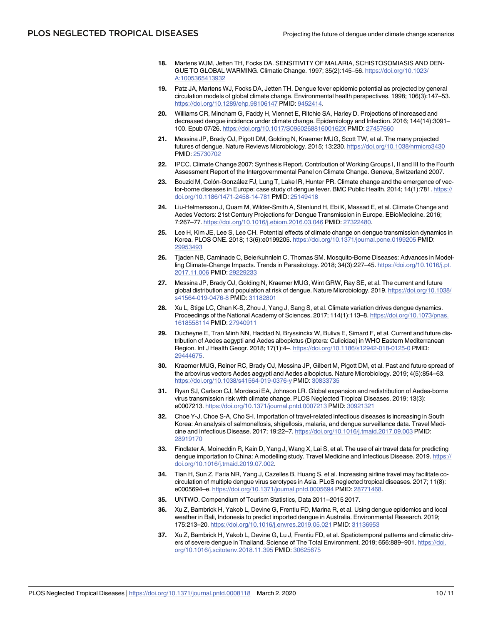- <span id="page-9-0"></span>**[18](#page-5-0).** Martens WJM, Jetten TH, Focks DA. SENSITIVITY OF MALARIA, SCHISTOSOMIASIS AND DEN-GUE TO GLOBAL WARMING. Climatic Change. 1997; 35(2):145–56. [https://doi.org/10.1023/](https://doi.org/10.1023/A:1005365413932) [A:1005365413932](https://doi.org/10.1023/A:1005365413932)
- **[19](#page-5-0).** Patz JA, Martens WJ, Focks DA, Jetten TH. Dengue fever epidemic potential as projected by general circulation models of global climate change. Environmental health perspectives. 1998; 106(3):147–53. <https://doi.org/10.1289/ehp.98106147> PMID: [9452414](http://www.ncbi.nlm.nih.gov/pubmed/9452414).
- **[20](#page-1-0).** Williams CR, Mincham G, Faddy H, Viennet E, Ritchie SA, Harley D. Projections of increased and decreased dengue incidence under climate change. Epidemiology and Infection. 2016; 144(14):3091– 100. Epub 07/26. <https://doi.org/10.1017/S095026881600162X> PMID: [27457660](http://www.ncbi.nlm.nih.gov/pubmed/27457660)
- **[21](#page-2-0).** Messina JP, Brady OJ, Pigott DM, Golding N, Kraemer MUG, Scott TW, et al. The many projected futures of dengue. Nature Reviews Microbiology. 2015; 13:230. <https://doi.org/10.1038/nrmicro3430> PMID: [25730702](http://www.ncbi.nlm.nih.gov/pubmed/25730702)
- **[22](#page-2-0).** IPCC. Climate Change 2007: Synthesis Report. Contribution of Working Groups I, II and III to the Fourth Assessment Report of the Intergovernmental Panel on Climate Change. Geneva, Switzerland 2007.
- [23](#page-2-0). Bouzid M, Colón-González FJ, Lung T, Lake IR, Hunter PR. Climate change and the emergence of vector-borne diseases in Europe: case study of dengue fever. BMC Public Health. 2014; 14(1):781. [https://](https://doi.org/10.1186/1471-2458-14-781) [doi.org/10.1186/1471-2458-14-781](https://doi.org/10.1186/1471-2458-14-781) PMID: [25149418](http://www.ncbi.nlm.nih.gov/pubmed/25149418)
- **[24](#page-2-0).** Liu-Helmersson J, Quam M, Wilder-Smith A, Stenlund H, Ebi K, Massad E, et al. Climate Change and Aedes Vectors: 21st Century Projections for Dengue Transmission in Europe. EBioMedicine. 2016; 7:267–77. <https://doi.org/10.1016/j.ebiom.2016.03.046> PMID: [27322480](http://www.ncbi.nlm.nih.gov/pubmed/27322480).
- **[25](#page-2-0).** Lee H, Kim JE, Lee S, Lee CH. Potential effects of climate change on dengue transmission dynamics in Korea. PLOS ONE. 2018; 13(6):e0199205. <https://doi.org/10.1371/journal.pone.0199205> PMID: [29953493](http://www.ncbi.nlm.nih.gov/pubmed/29953493)
- **[26](#page-5-0).** Tjaden NB, Caminade C, Beierkuhnlein C, Thomas SM. Mosquito-Borne Diseases: Advances in Modelling Climate-Change Impacts. Trends in Parasitology. 2018; 34(3):227–45. [https://doi.org/10.1016/j.pt.](https://doi.org/10.1016/j.pt.2017.11.006) [2017.11.006](https://doi.org/10.1016/j.pt.2017.11.006) PMID: [29229233](http://www.ncbi.nlm.nih.gov/pubmed/29229233)
- **[27](#page-5-0).** Messina JP, Brady OJ, Golding N, Kraemer MUG, Wint GRW, Ray SE, et al. The current and future global distribution and population at risk of dengue. Nature Microbiology. 2019. [https://doi.org/10.1038/](https://doi.org/10.1038/s41564-019-0476-8) [s41564-019-0476-8](https://doi.org/10.1038/s41564-019-0476-8) PMID: [31182801](http://www.ncbi.nlm.nih.gov/pubmed/31182801)
- **[28](#page-5-0).** Xu L, Stige LC, Chan K-S, Zhou J, Yang J, Sang S, et al. Climate variation drives dengue dynamics. Proceedings of the National Academy of Sciences. 2017; 114(1):113–8. [https://doi.org/10.1073/pnas.](https://doi.org/10.1073/pnas.1618558114) [1618558114](https://doi.org/10.1073/pnas.1618558114) PMID: [27940911](http://www.ncbi.nlm.nih.gov/pubmed/27940911)
- **[29](#page-6-0).** Ducheyne E, Tran Minh NN, Haddad N, Bryssinckx W, Buliva E, Simard F, et al. Current and future distribution of Aedes aegypti and Aedes albopictus (Diptera: Culicidae) in WHO Eastern Mediterranean Region. Int J Health Geogr. 2018; 17(1):4–. <https://doi.org/10.1186/s12942-018-0125-0> PMID: [29444675](http://www.ncbi.nlm.nih.gov/pubmed/29444675).
- **[30](#page-6-0).** Kraemer MUG, Reiner RC, Brady OJ, Messina JP, Gilbert M, Pigott DM, et al. Past and future spread of the arbovirus vectors Aedes aegypti and Aedes albopictus. Nature Microbiology. 2019; 4(5):854–63. <https://doi.org/10.1038/s41564-019-0376-y> PMID: [30833735](http://www.ncbi.nlm.nih.gov/pubmed/30833735)
- **[31](#page-6-0).** Ryan SJ, Carlson CJ, Mordecai EA, Johnson LR. Global expansion and redistribution of Aedes-borne virus transmission risk with climate change. PLOS Neglected Tropical Diseases. 2019; 13(3): e0007213. <https://doi.org/10.1371/journal.pntd.0007213> PMID: [30921321](http://www.ncbi.nlm.nih.gov/pubmed/30921321)
- **[32](#page-6-0).** Choe Y-J, Choe S-A, Cho S-I. Importation of travel-related infectious diseases is increasing in South Korea: An analysis of salmonellosis, shigellosis, malaria, and dengue surveillance data. Travel Medicine and Infectious Disease. 2017; 19:22–7. <https://doi.org/10.1016/j.tmaid.2017.09.003> PMID: [28919170](http://www.ncbi.nlm.nih.gov/pubmed/28919170)
- **33.** Findlater A, Moineddin R, Kain D, Yang J, Wang X, Lai S, et al. The use of air travel data for predicting dengue importation to China: A modelling study. Travel Medicine and Infectious Disease. 2019. [https://](https://doi.org/10.1016/j.tmaid.2019.07.002) [doi.org/10.1016/j.tmaid.2019.07.002](https://doi.org/10.1016/j.tmaid.2019.07.002).
- **[34](#page-6-0).** Tian H, Sun Z, Faria NR, Yang J, Cazelles B, Huang S, et al. Increasing airline travel may facilitate cocirculation of multiple dengue virus serotypes in Asia. PLoS neglected tropical diseases. 2017; 11(8): e0005694–e. <https://doi.org/10.1371/journal.pntd.0005694> PMID: [28771468.](http://www.ncbi.nlm.nih.gov/pubmed/28771468)
- **[35](#page-6-0).** UNTWO. Compendium of Tourism Statistics, Data 2011–2015 2017.
- **[36](#page-6-0).** Xu Z, Bambrick H, Yakob L, Devine G, Frentiu FD, Marina R, et al. Using dengue epidemics and local weather in Bali, Indonesia to predict imported dengue in Australia. Environmental Research. 2019; 175:213–20. <https://doi.org/10.1016/j.envres.2019.05.021> PMID: [31136953](http://www.ncbi.nlm.nih.gov/pubmed/31136953)
- **[37](#page-6-0).** Xu Z, Bambrick H, Yakob L, Devine G, Lu J, Frentiu FD, et al. Spatiotemporal patterns and climatic drivers of severe dengue in Thailand. Science of The Total Environment. 2019; 656:889–901. [https://doi.](https://doi.org/10.1016/j.scitotenv.2018.11.395) [org/10.1016/j.scitotenv.2018.11.395](https://doi.org/10.1016/j.scitotenv.2018.11.395) PMID: [30625675](http://www.ncbi.nlm.nih.gov/pubmed/30625675)